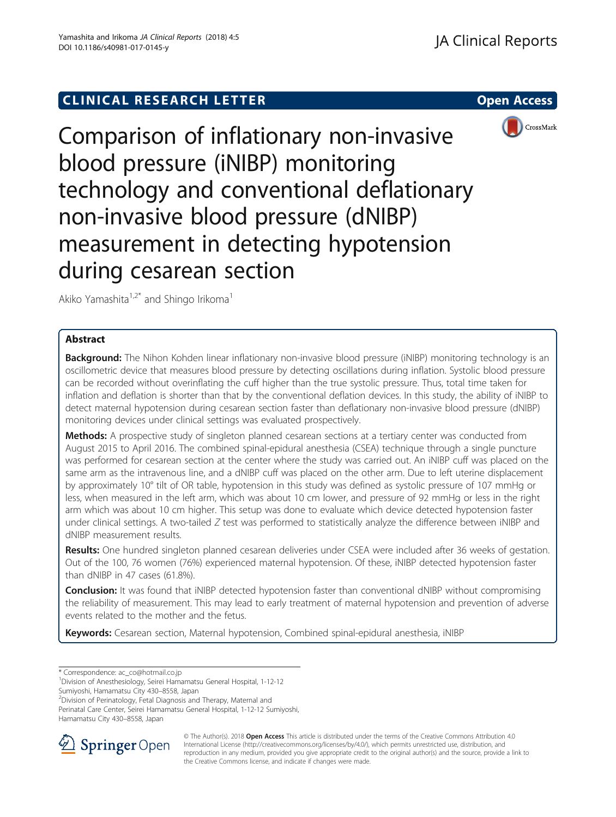# **CLINICAL RESEARCH LETTER** Open Access



Comparison of inflationary non-invasive blood pressure (iNIBP) monitoring technology and conventional deflationary non-invasive blood pressure (dNIBP) measurement in detecting hypotension during cesarean section

Akiko Yamashita<sup>1,2\*</sup> and Shingo Irikoma<sup>1</sup>

## Abstract

Background: The Nihon Kohden linear inflationary non-invasive blood pressure (iNIBP) monitoring technology is an oscillometric device that measures blood pressure by detecting oscillations during inflation. Systolic blood pressure can be recorded without overinflating the cuff higher than the true systolic pressure. Thus, total time taken for inflation and deflation is shorter than that by the conventional deflation devices. In this study, the ability of iNIBP to detect maternal hypotension during cesarean section faster than deflationary non-invasive blood pressure (dNIBP) monitoring devices under clinical settings was evaluated prospectively.

**Methods:** A prospective study of singleton planned cesarean sections at a tertiary center was conducted from August 2015 to April 2016. The combined spinal-epidural anesthesia (CSEA) technique through a single puncture was performed for cesarean section at the center where the study was carried out. An iNIBP cuff was placed on the same arm as the intravenous line, and a dNIBP cuff was placed on the other arm. Due to left uterine displacement by approximately 10° tilt of OR table, hypotension in this study was defined as systolic pressure of 107 mmHg or less, when measured in the left arm, which was about 10 cm lower, and pressure of 92 mmHg or less in the right arm which was about 10 cm higher. This setup was done to evaluate which device detected hypotension faster under clinical settings. A two-tailed Z test was performed to statistically analyze the difference between iNIBP and dNIBP measurement results.

Results: One hundred singleton planned cesarean deliveries under CSEA were included after 36 weeks of gestation. Out of the 100, 76 women (76%) experienced maternal hypotension. Of these, iNIBP detected hypotension faster than dNIBP in 47 cases (61.8%).

**Conclusion:** It was found that iNIBP detected hypotension faster than conventional dNIBP without compromising the reliability of measurement. This may lead to early treatment of maternal hypotension and prevention of adverse events related to the mother and the fetus.

Keywords: Cesarean section, Maternal hypotension, Combined spinal-epidural anesthesia, iNIBP

Sumiyoshi, Hamamatsu City 430–8558, Japan <sup>2</sup>

Perinatal Care Center, Seirei Hamamatsu General Hospital, 1-12-12 Sumiyoshi, Hamamatsu City 430–8558, Japan



© The Author(s). 2018 Open Access This article is distributed under the terms of the Creative Commons Attribution 4.0 International License ([http://creativecommons.org/licenses/by/4.0/\)](http://creativecommons.org/licenses/by/4.0/), which permits unrestricted use, distribution, and reproduction in any medium, provided you give appropriate credit to the original author(s) and the source, provide a link to the Creative Commons license, and indicate if changes were made.

<sup>\*</sup> Correspondence: [ac\\_co@hotmail.co.jp](mailto:ac_co@hotmail.co.jp) <sup>1</sup>

Division of Anesthesiology, Seirei Hamamatsu General Hospital, 1-12-12

<sup>&</sup>lt;sup>2</sup>Division of Perinatology, Fetal Diagnosis and Therapy, Maternal and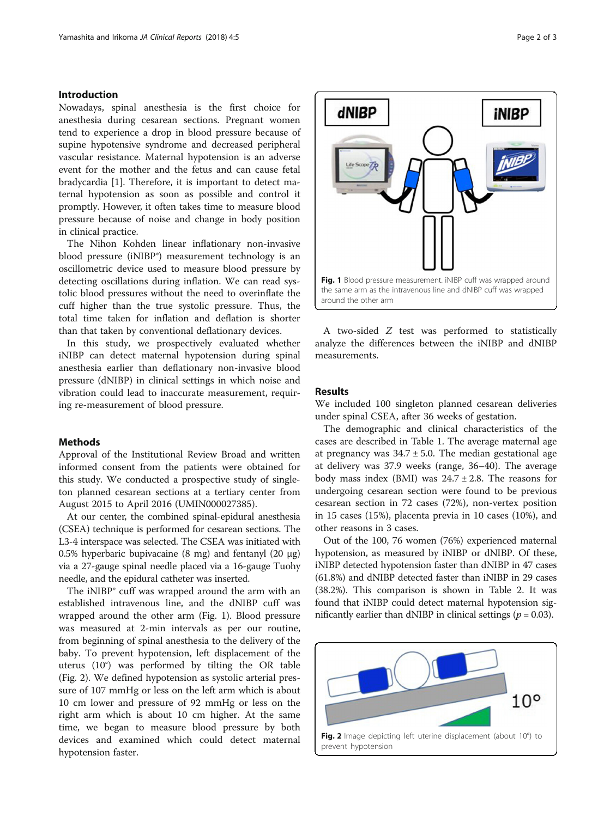## Introduction

Nowadays, spinal anesthesia is the first choice for anesthesia during cesarean sections. Pregnant women tend to experience a drop in blood pressure because of supine hypotensive syndrome and decreased peripheral vascular resistance. Maternal hypotension is an adverse event for the mother and the fetus and can cause fetal bradycardia [[1\]](#page-2-0). Therefore, it is important to detect maternal hypotension as soon as possible and control it promptly. However, it often takes time to measure blood pressure because of noise and change in body position in clinical practice.

The Nihon Kohden linear inflationary non-invasive blood pressure (iNIBP<sup>®</sup>) measurement technology is an oscillometric device used to measure blood pressure by detecting oscillations during inflation. We can read systolic blood pressures without the need to overinflate the cuff higher than the true systolic pressure. Thus, the total time taken for inflation and deflation is shorter than that taken by conventional deflationary devices.

In this study, we prospectively evaluated whether iNIBP can detect maternal hypotension during spinal anesthesia earlier than deflationary non-invasive blood pressure (dNIBP) in clinical settings in which noise and vibration could lead to inaccurate measurement, requiring re-measurement of blood pressure.

## **Methods**

Approval of the Institutional Review Broad and written informed consent from the patients were obtained for this study. We conducted a prospective study of singleton planned cesarean sections at a tertiary center from August 2015 to April 2016 (UMIN000027385).

At our center, the combined spinal-epidural anesthesia (CSEA) technique is performed for cesarean sections. The L3-4 interspace was selected. The CSEA was initiated with 0.5% hyperbaric bupivacaine (8 mg) and fentanyl (20 μg) via a 27-gauge spinal needle placed via a 16-gauge Tuohy needle, and the epidural catheter was inserted.

The iNIBP® cuff was wrapped around the arm with an established intravenous line, and the dNIBP cuff was wrapped around the other arm (Fig. 1). Blood pressure was measured at 2-min intervals as per our routine, from beginning of spinal anesthesia to the delivery of the baby. To prevent hypotension, left displacement of the uterus (10°) was performed by tilting the OR table (Fig. 2). We defined hypotension as systolic arterial pressure of 107 mmHg or less on the left arm which is about 10 cm lower and pressure of 92 mmHg or less on the right arm which is about 10 cm higher. At the same time, we began to measure blood pressure by both devices and examined which could detect maternal hypotension faster.



A two-sided Z test was performed to statistically analyze the differences between the iNIBP and dNIBP measurements.

## Results

We included 100 singleton planned cesarean deliveries under spinal CSEA, after 36 weeks of gestation.

The demographic and clinical characteristics of the cases are described in Table [1.](#page-2-0) The average maternal age at pregnancy was  $34.7 \pm 5.0$ . The median gestational age at delivery was 37.9 weeks (range, 36–40). The average body mass index (BMI) was  $24.7 \pm 2.8$ . The reasons for undergoing cesarean section were found to be previous cesarean section in 72 cases (72%), non-vertex position in 15 cases (15%), placenta previa in 10 cases (10%), and other reasons in 3 cases.

Out of the 100, 76 women (76%) experienced maternal hypotension, as measured by iNIBP or dNIBP. Of these, iNIBP detected hypotension faster than dNIBP in 47 cases (61.8%) and dNIBP detected faster than iNIBP in 29 cases (38.2%). This comparison is shown in Table [2.](#page-2-0) It was found that iNIBP could detect maternal hypotension significantly earlier than dNIBP in clinical settings ( $p = 0.03$ ).